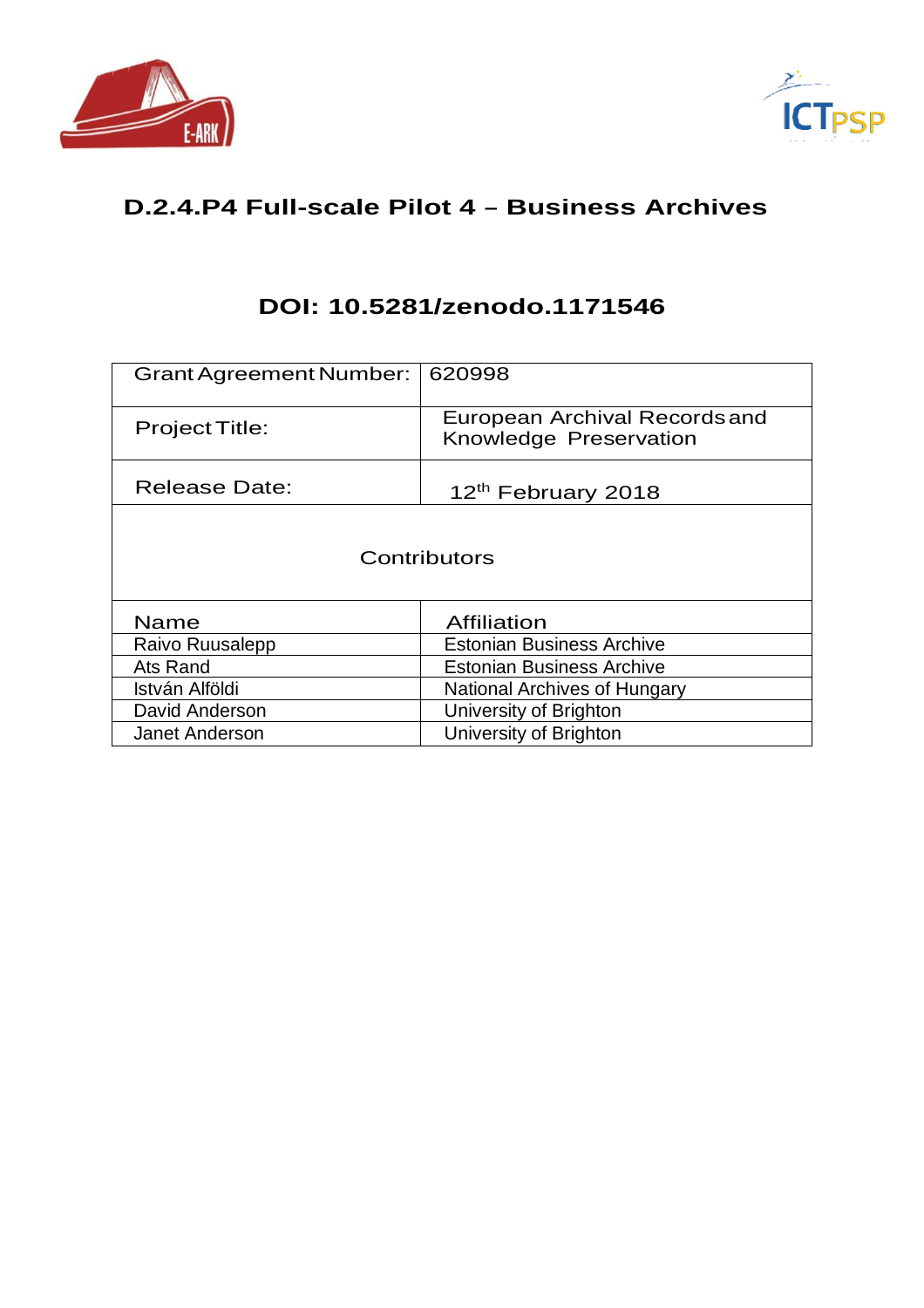



# **D.2.4.P4 Full-scale Pilot 4 – Business Archives**

# **DOI: 10.5281/zenodo.1171546**

| <b>Grant Agreement Number:</b> | 620998                                                  |
|--------------------------------|---------------------------------------------------------|
| <b>Project Title:</b>          | European Archival Records and<br>Knowledge Preservation |
| <b>Release Date:</b>           | 12 <sup>th</sup> February 2018                          |
|                                | Contributors                                            |
| <b>Name</b>                    | Affiliation                                             |
| Raivo Ruusalepp                | <b>Estonian Business Archive</b>                        |
| Ats Rand                       | <b>Estonian Business Archive</b>                        |
| István Alföldi                 | National Archives of Hungary                            |
| David Anderson                 | University of Brighton                                  |
| Janet Anderson                 | University of Brighton                                  |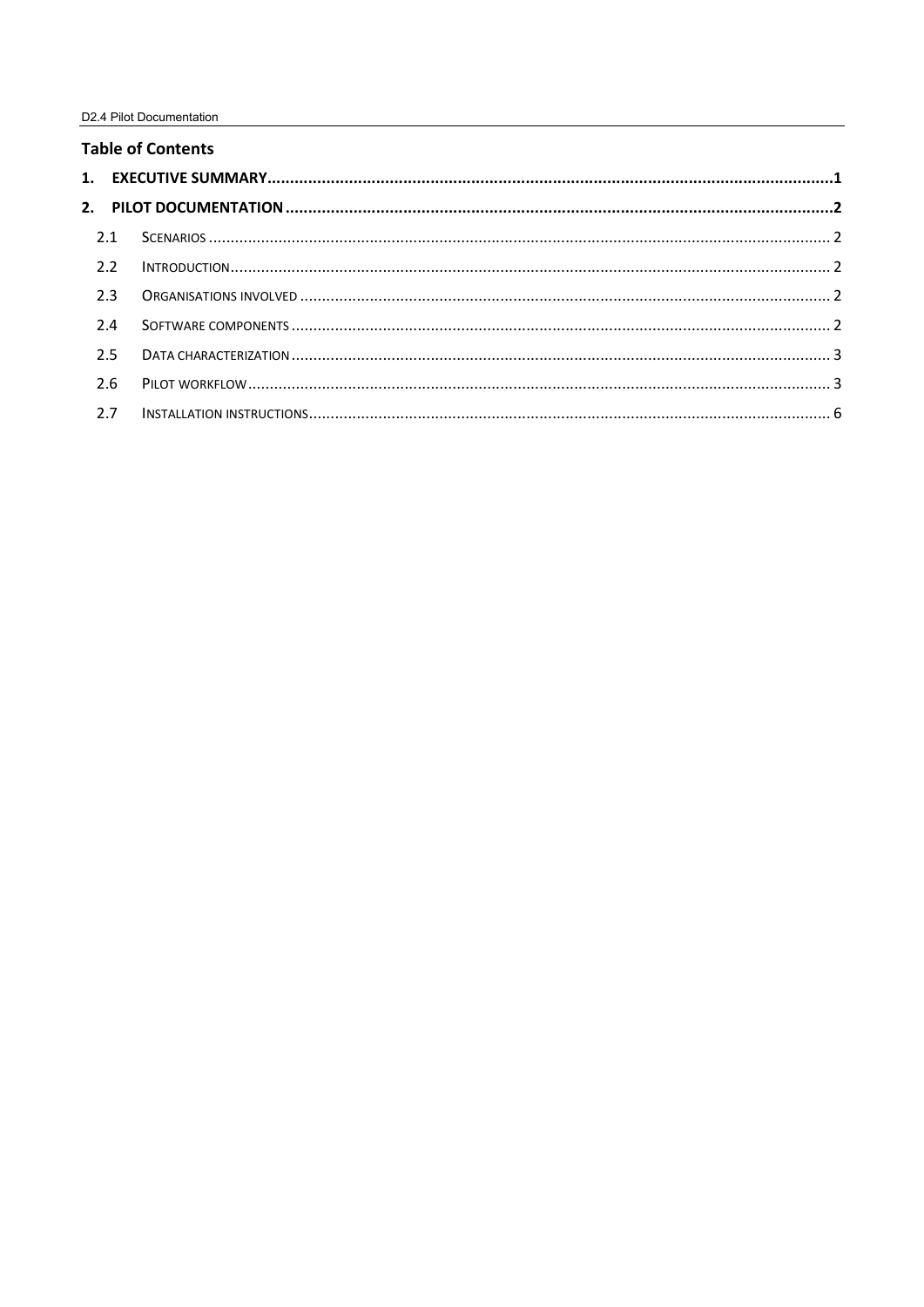# **Table of Contents**

| 2.1 |     |  |  |
|-----|-----|--|--|
|     | 2.2 |  |  |
|     | 2.3 |  |  |
|     | 2.4 |  |  |
|     | 2.5 |  |  |
|     | 2.6 |  |  |
|     | 2.7 |  |  |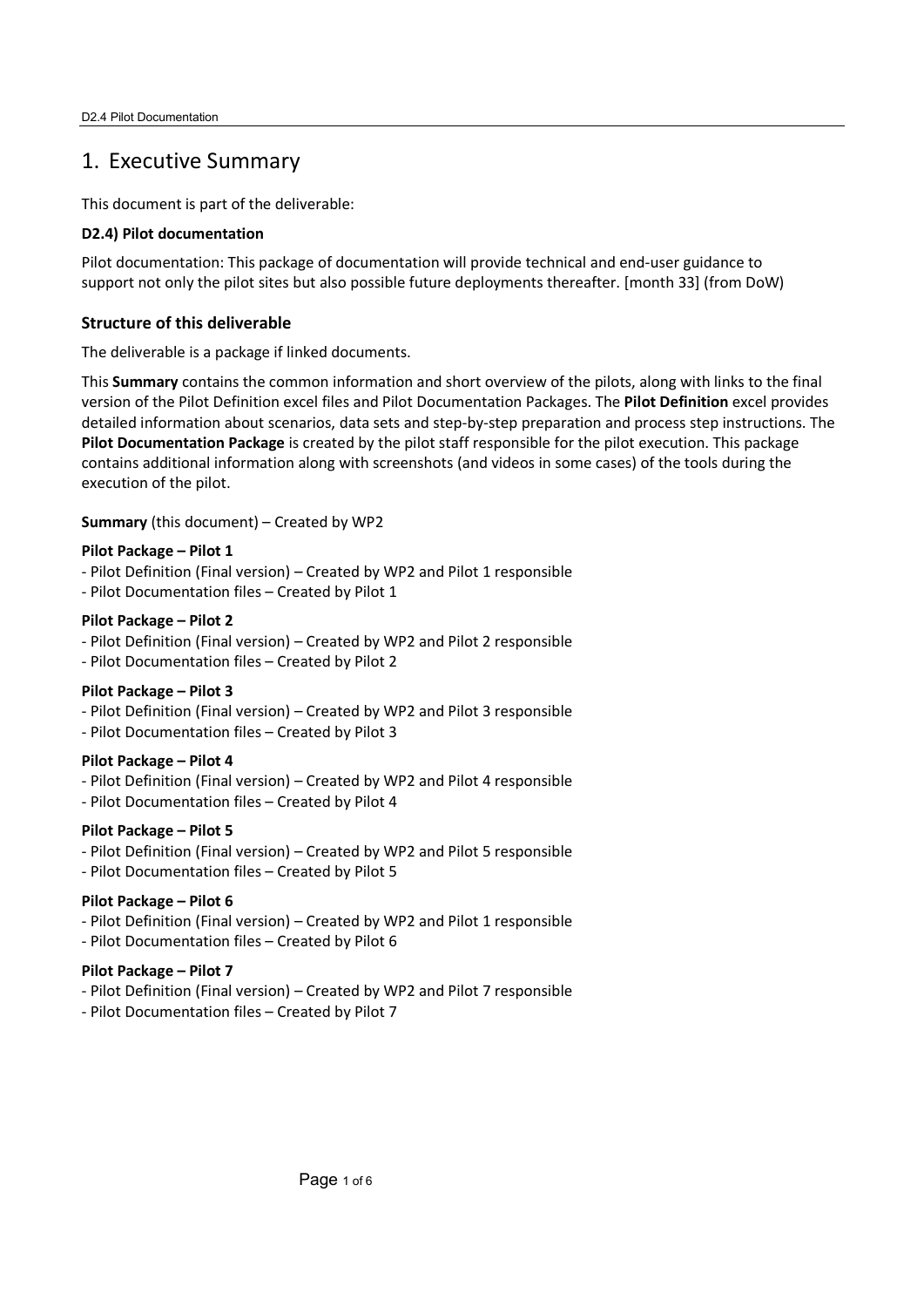# 1. Executive Summary

This document is part of the deliverable:

#### **D2.4) Pilot documentation**

Pilot documentation: This package of documentation will provide technical and end-user guidance to support not only the pilot sites but also possible future deployments thereafter. [month 33] (from DoW)

# **Structure of this deliverable**

The deliverable is a package if linked documents.

This **Summary** contains the common information and short overview of the pilots, along with links to the final version of the Pilot Definition excel files and Pilot Documentation Packages. The **Pilot Definition** excel provides detailed information about scenarios, data sets and step-by-step preparation and process step instructions. The **Pilot Documentation Package** is created by the pilot staff responsible for the pilot execution. This package contains additional information along with screenshots (and videos in some cases) of the tools during the execution of the pilot.

**Summary** (this document) – Created by WP2

# **Pilot Package – Pilot 1**

- Pilot Definition (Final version) Created by WP2 and Pilot 1 responsible
- Pilot Documentation files Created by Pilot 1

#### **Pilot Package – Pilot 2**

- Pilot Definition (Final version) Created by WP2 and Pilot 2 responsible
- Pilot Documentation files Created by Pilot 2

# **Pilot Package – Pilot 3**

- Pilot Definition (Final version) Created by WP2 and Pilot 3 responsible
- Pilot Documentation files Created by Pilot 3

# **Pilot Package – Pilot 4**

- Pilot Definition (Final version) Created by WP2 and Pilot 4 responsible
- Pilot Documentation files Created by Pilot 4

# **Pilot Package – Pilot 5**

- Pilot Definition (Final version) Created by WP2 and Pilot 5 responsible
- Pilot Documentation files Created by Pilot 5

# **Pilot Package – Pilot 6**

- Pilot Definition (Final version) Created by WP2 and Pilot 1 responsible
- Pilot Documentation files Created by Pilot 6

# **Pilot Package – Pilot 7**

- Pilot Definition (Final version) Created by WP2 and Pilot 7 responsible
- Pilot Documentation files Created by Pilot 7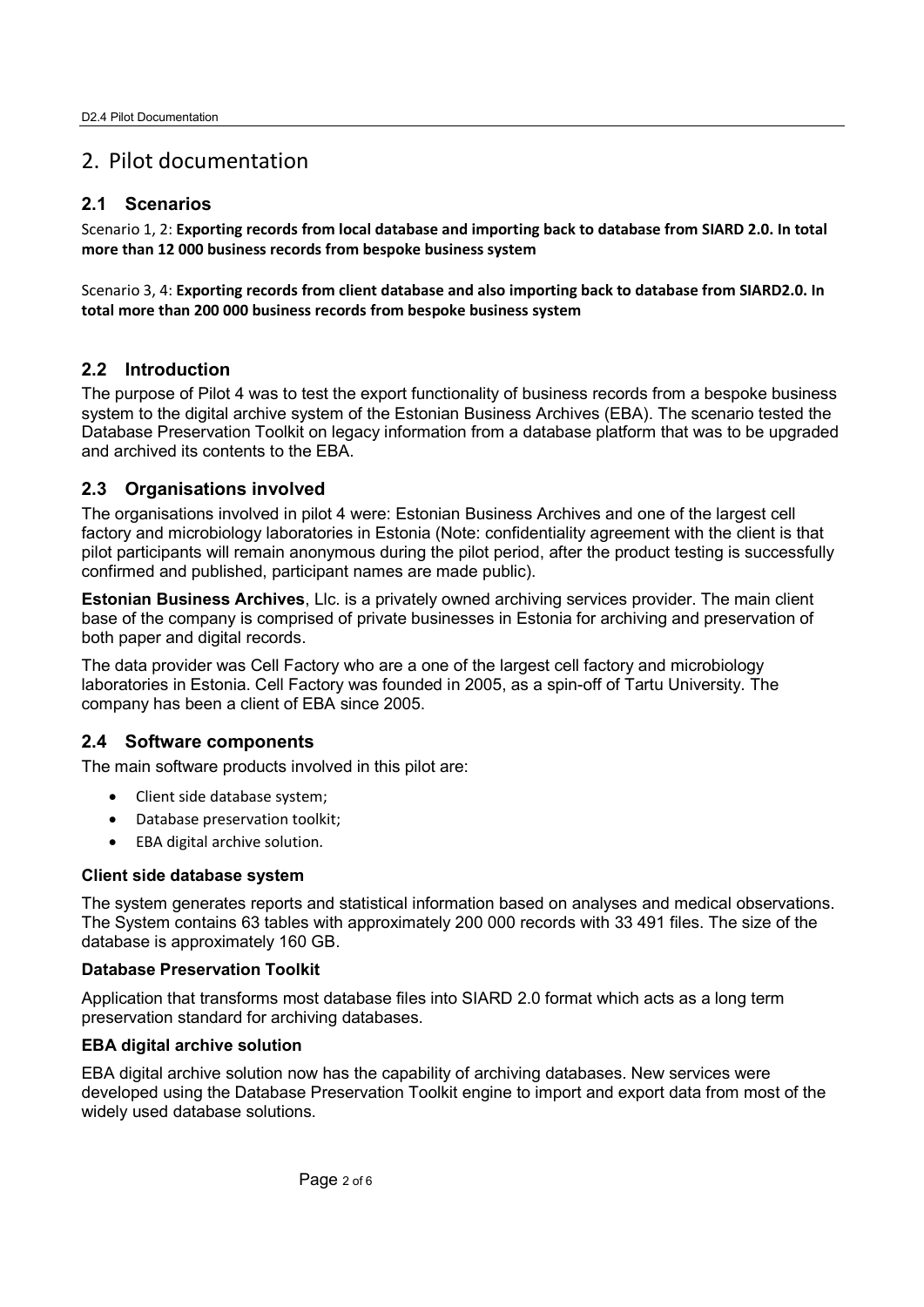# 2. Pilot documentation

# **2.1 Scenarios**

Scenario 1, 2: **Exporting records from local database and importing back to database from SIARD 2.0. In total more than 12 000 business records from bespoke business system** 

Scenario 3, 4: **Exporting records from client database and also importing back to database from SIARD2.0. In total more than 200 000 business records from bespoke business system** 

# **2.2 Introduction**

The purpose of Pilot 4 was to test the export functionality of business records from a bespoke business system to the digital archive system of the Estonian Business Archives (EBA). The scenario tested the Database Preservation Toolkit on legacy information from a database platform that was to be upgraded and archived its contents to the EBA.

# **2.3 Organisations involved**

The organisations involved in pilot 4 were: Estonian Business Archives and one of the largest cell factory and microbiology laboratories in Estonia (Note: confidentiality agreement with the client is that pilot participants will remain anonymous during the pilot period, after the product testing is successfully confirmed and published, participant names are made public).

**Estonian Business Archives**, Llc. is a privately owned archiving services provider. The main client base of the company is comprised of private businesses in Estonia for archiving and preservation of both paper and digital records.

The data provider was Cell Factory who are a one of the largest cell factory and microbiology laboratories in Estonia. Cell Factory was founded in 2005, as a spin-off of Tartu University. The company has been a client of EBA since 2005.

# **2.4 Software components**

The main software products involved in this pilot are:

- Client side database system;
- Database preservation toolkit;
- EBA digital archive solution.

#### **Client side database system**

The system generates reports and statistical information based on analyses and medical observations. The System contains 63 tables with approximately 200 000 records with 33 491 files. The size of the database is approximately 160 GB.

#### **Database Preservation Toolkit**

Application that transforms most database files into SIARD 2.0 format which acts as a long term preservation standard for archiving databases.

#### **EBA digital archive solution**

EBA digital archive solution now has the capability of archiving databases. New services were developed using the Database Preservation Toolkit engine to import and export data from most of the widely used database solutions.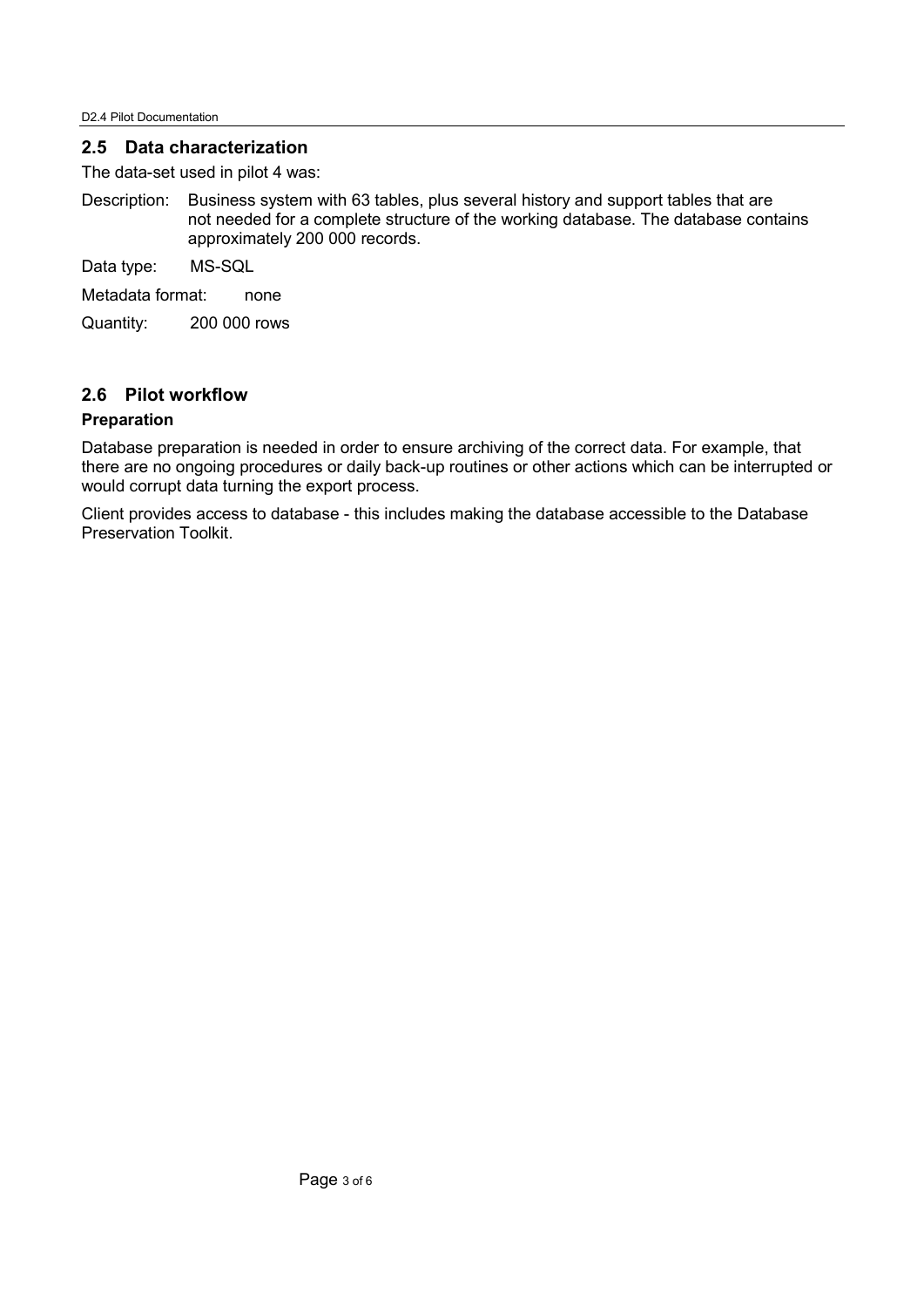### **2.5 Data characterization**

The data-set used in pilot 4 was:

Description: Business system with 63 tables, plus several history and support tables that are not needed for a complete structure of the working database. The database contains approximately 200 000 records.

Data type: MS-SQL

Metadata format: none

Quantity: 200 000 rows

# **2.6 Pilot workflow**

#### **Preparation**

Database preparation is needed in order to ensure archiving of the correct data. For example, that there are no ongoing procedures or daily back-up routines or other actions which can be interrupted or would corrupt data turning the export process.

Client provides access to database - this includes making the database accessible to the Database Preservation Toolkit.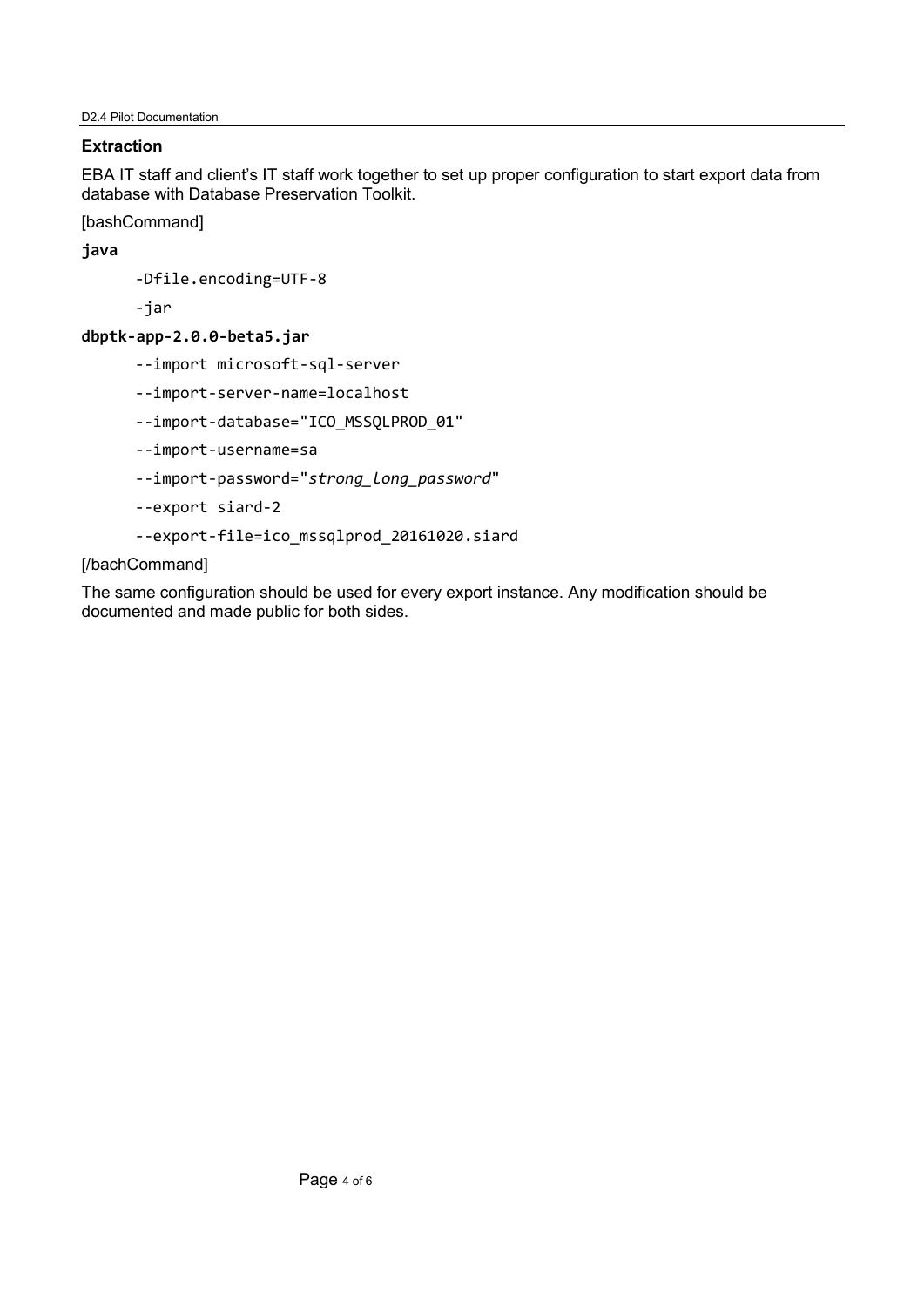# **Extraction**

EBA IT staff and client's IT staff work together to set up proper configuration to start export data from database with Database Preservation Toolkit.

[bashCommand]

**java**

-Dfile.encoding=UTF-8

-jar

# **dbptk-app-2.0.0-beta5.jar**

- --import microsoft-sql-server
- --import-server-name=localhost
- --import-database="ICO\_MSSQLPROD\_01"
- --import-username=sa
- --import-password="*strong\_long\_password*"
- --export siard-2
- --export-file=ico\_mssqlprod\_20161020.siard

# [/bachCommand]

The same configuration should be used for every export instance. Any modification should be documented and made public for both sides.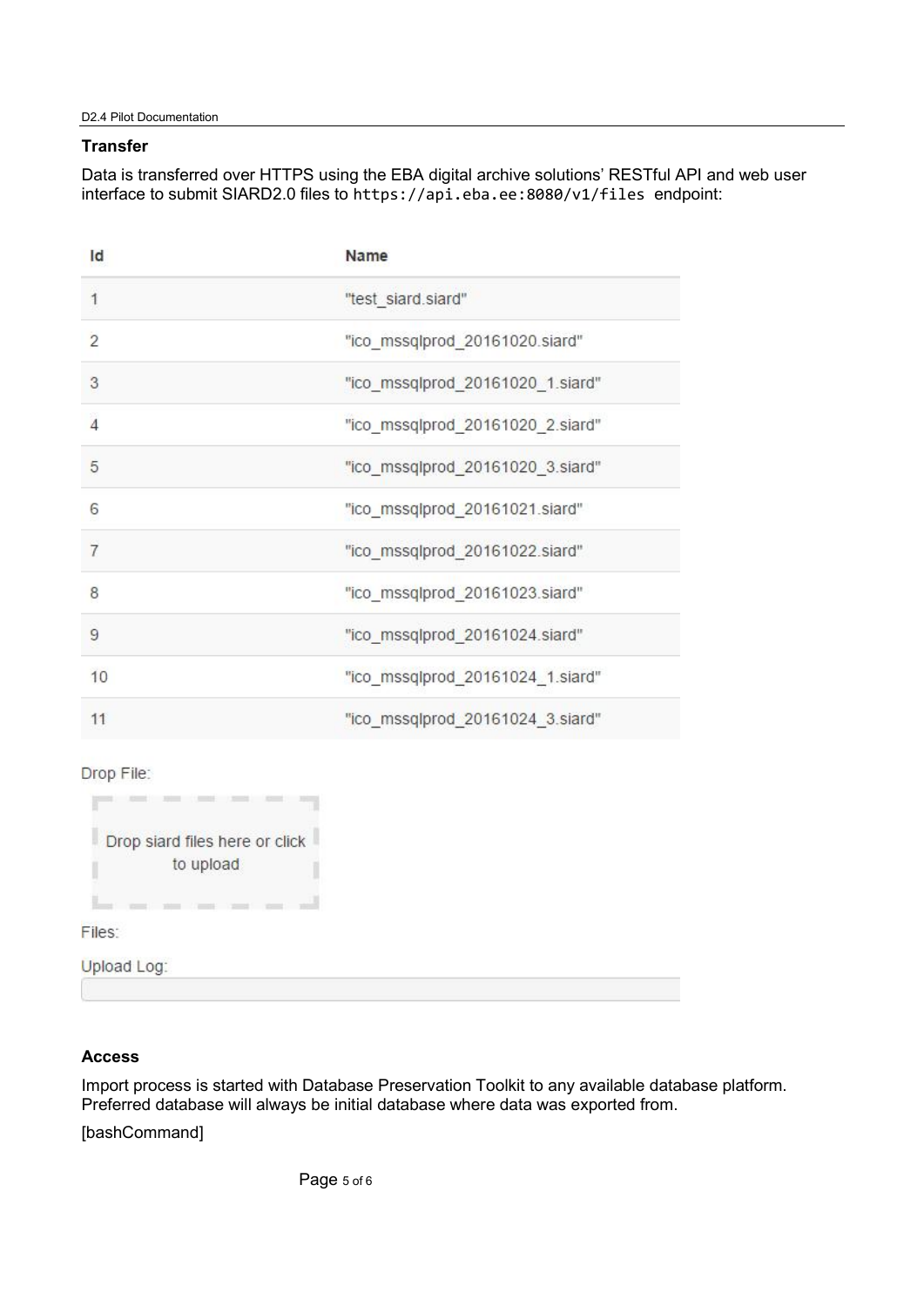#### **Transfer**

Data is transferred over HTTPS using the EBA digital archive solutions' RESTful API and web user interface to submit SIARD2.0 files to https://api.eba.ee:8080/v1/files endpoint:

| "test_siard.siard"<br>1<br>$\overline{2}$<br>"ico_mssqlprod_20161020.siard"<br>3<br>"ico_mssqlprod_20161020_1.siard"<br>$\overline{4}$<br>"ico_mssqlprod_20161020_2.siard" |  |
|----------------------------------------------------------------------------------------------------------------------------------------------------------------------------|--|
|                                                                                                                                                                            |  |
|                                                                                                                                                                            |  |
|                                                                                                                                                                            |  |
|                                                                                                                                                                            |  |
| 5<br>"ico_mssqlprod_20161020_3.siard"                                                                                                                                      |  |
| 6<br>"ico_mssqlprod_20161021.siard"                                                                                                                                        |  |
| 7<br>"ico_mssqlprod_20161022.siard"                                                                                                                                        |  |
| 8<br>"ico mssqlprod 20161023.siard"                                                                                                                                        |  |
| 9<br>"ico mssqlprod 20161024.siard"                                                                                                                                        |  |
| 10<br>"ico_mssqlprod_20161024_1.siard"                                                                                                                                     |  |
| "ico_mssqlprod_20161024_3.siard"<br>11                                                                                                                                     |  |

Drop File:

| Drop siard files here or click |
|--------------------------------|
|                                |
|                                |
|                                |

Files:

**Upload Log:** 

# **Access**

Import process is started with Database Preservation Toolkit to any available database platform. Preferred database will always be initial database where data was exported from.

[bashCommand]